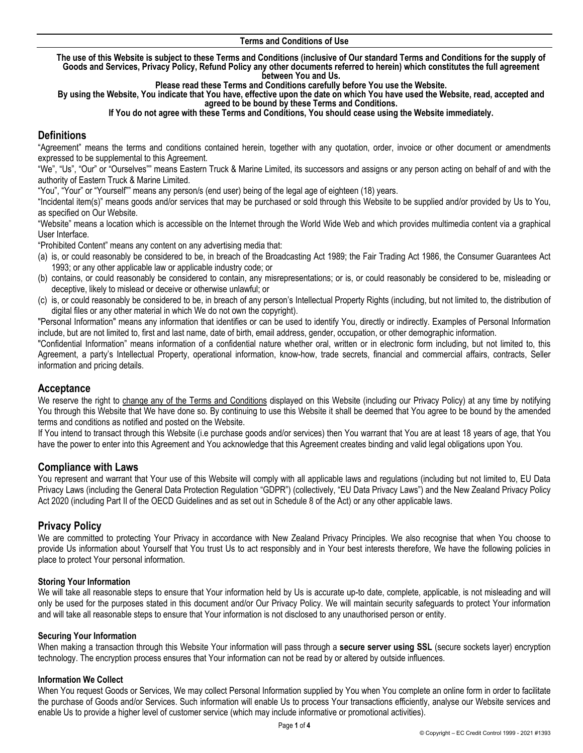#### **Terms and Conditions of Use**

**The use of this Website is subject to these Terms and Conditions (inclusive of Our standard Terms and Conditions for the supply of Goods and Services, Privacy Policy, Refund Policy any other documents referred to herein) which constitutes the full agreement between You and Us.** 

**Please read these Terms and Conditions carefully before You use the Website.** 

**By using the Website, You indicate that You have, effective upon the date on which You have used the Website, read, accepted and agreed to be bound by these Terms and Conditions.**

#### **If You do not agree with these Terms and Conditions, You should cease using the Website immediately.**

# **Definitions**

"Agreement" means the terms and conditions contained herein, together with any quotation, order, invoice or other document or amendments expressed to be supplemental to this Agreement.

"We", "Us", "Our" or "Ourselves"" means Eastern Truck & Marine Limited, its successors and assigns or any person acting on behalf of and with the authority of Eastern Truck & Marine Limited.

"You", "Your" or "Yourself"" means any person/s (end user) being of the legal age of eighteen (18) years.

"Incidental item(s)" means goods and/or services that may be purchased or sold through this Website to be supplied and/or provided by Us to You, as specified on Our Website.

"Website" means a location which is accessible on the Internet through the World Wide Web and which provides multimedia content via a graphical User Interface.

"Prohibited Content" means any content on any advertising media that:

- (a) is, or could reasonably be considered to be, in breach of the Broadcasting Act 1989; the Fair Trading Act 1986, the Consumer Guarantees Act 1993; or any other applicable law or applicable industry code; or
- (b) contains, or could reasonably be considered to contain, any misrepresentations; or is, or could reasonably be considered to be, misleading or deceptive, likely to mislead or deceive or otherwise unlawful; or
- (c) is, or could reasonably be considered to be, in breach of any person's Intellectual Property Rights (including, but not limited to, the distribution of digital files or any other material in which We do not own the copyright).

"Personal Information" means any information that identifies or can be used to identify You, directly or indirectly. Examples of Personal Information include, but are not limited to, first and last name, date of birth, email address, gender, occupation, or other demographic information.

"Confidential Information" means information of a confidential nature whether oral, written or in electronic form including, but not limited to, this Agreement, a party's Intellectual Property, operational information, know-how, trade secrets, financial and commercial affairs, contracts, Seller information and pricing details.

## **Acceptance**

We reserve the right to change any of the Terms and Conditions displayed on this Website (including our Privacy Policy) at any time by notifying You through this Website that We have done so. By continuing to use this Website it shall be deemed that You agree to be bound by the amended terms and conditions as notified and posted on the Website.

If You intend to transact through this Website (i.e purchase goods and/or services) then You warrant that You are at least 18 years of age, that You have the power to enter into this Agreement and You acknowledge that this Agreement creates binding and valid legal obligations upon You.

## **Compliance with Laws**

You represent and warrant that Your use of this Website will comply with all applicable laws and regulations (including but not limited to, EU Data Privacy Laws (including the General Data Protection Regulation "GDPR") (collectively, "EU Data Privacy Laws") and the New Zealand Privacy Policy Act 2020 (including Part II of the OECD Guidelines and as set out in Schedule 8 of the Act) or any other applicable laws.

# **Privacy Policy**

We are committed to protecting Your Privacy in accordance with New Zealand Privacy Principles. We also recognise that when You choose to provide Us information about Yourself that You trust Us to act responsibly and in Your best interests therefore, We have the following policies in place to protect Your personal information.

#### **Storing Your Information**

We will take all reasonable steps to ensure that Your information held by Us is accurate up-to date, complete, applicable, is not misleading and will only be used for the purposes stated in this document and/or Our Privacy Policy. We will maintain security safeguards to protect Your information and will take all reasonable steps to ensure that Your information is not disclosed to any unauthorised person or entity.

#### **Securing Your Information**

When making a transaction through this Website Your information will pass through a **secure server using SSL** (secure sockets layer) encryption technology. The encryption process ensures that Your information can not be read by or altered by outside influences.

#### **Information We Collect**

When You request Goods or Services, We may collect Personal Information supplied by You when You complete an online form in order to facilitate the purchase of Goods and/or Services. Such information will enable Us to process Your transactions efficiently, analyse our Website services and enable Us to provide a higher level of customer service (which may include informative or promotional activities).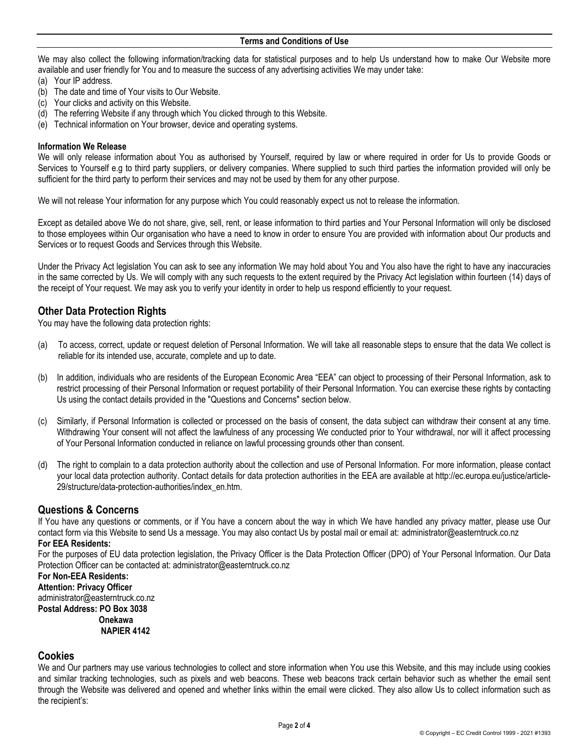We may also collect the following information/tracking data for statistical purposes and to help Us understand how to make Our Website more available and user friendly for You and to measure the success of any advertising activities We may under take:

- (a) Your IP address.
- (b) The date and time of Your visits to Our Website.
- (c) Your clicks and activity on this Website.
- (d) The referring Website if any through which You clicked through to this Website.
- (e) Technical information on Your browser, device and operating systems.

#### **Information We Release**

We will only release information about You as authorised by Yourself, required by law or where required in order for Us to provide Goods or Services to Yourself e.g to third party suppliers, or delivery companies. Where supplied to such third parties the information provided will only be sufficient for the third party to perform their services and may not be used by them for any other purpose.

We will not release Your information for any purpose which You could reasonably expect us not to release the information.

Except as detailed above We do not share, give, sell, rent, or lease information to third parties and Your Personal Information will only be disclosed to those employees within Our organisation who have a need to know in order to ensure You are provided with information about Our products and Services or to request Goods and Services through this Website.

Under the Privacy Act legislation You can ask to see any information We may hold about You and You also have the right to have any inaccuracies in the same corrected by Us. We will comply with any such requests to the extent required by the Privacy Act legislation within fourteen (14) days of the receipt of Your request. We may ask you to verify your identity in order to help us respond efficiently to your request.

## **Other Data Protection Rights**

You may have the following data protection rights:

- (a) To access, correct, update or request deletion of Personal Information. We will take all reasonable steps to ensure that the data We collect is reliable for its intended use, accurate, complete and up to date.
- (b) In addition, individuals who are residents of the European Economic Area "EEA" can object to processing of their Personal Information, ask to restrict processing of their Personal Information or request portability of their Personal Information. You can exercise these rights by contacting Us using the contact details provided in the "Questions and Concerns" section below.
- (c) Similarly, if Personal Information is collected or processed on the basis of consent, the data subject can withdraw their consent at any time. Withdrawing Your consent will not affect the lawfulness of any processing We conducted prior to Your withdrawal, nor will it affect processing of Your Personal Information conducted in reliance on lawful processing grounds other than consent.
- (d) The right to complain to a data protection authority about the collection and use of Personal Information. For more information, please contact your local data protection authority. Contact details for data protection authorities in the EEA are available at http://ec.europa.eu/justice/article-29/structure/data-protection-authorities/index\_en.htm.

## **Questions & Concerns**

If You have any questions or comments, or if You have a concern about the way in which We have handled any privacy matter, please use Our [contact form](https://mailchimp.com/contact/) via this Website to send Us a message. You may also contact Us by postal mail or email at: administrator@easterntruck.co.nz

# **For EEA Residents:**

For the purposes of EU data protection legislation, the Privacy Officer is the Data Protection Officer (DPO) of Your Personal Information. Our Data Protection Officer can be contacted at: administrator@easterntruck.co.nz

**For Non-EEA Residents: Attention: Privacy Officer** administrator@easterntruck.co.nz **Postal Address: PO Box 3038 Onekawa**

 **NAPIER 4142**

## **Cookies**

We and Our partners may use various technologies to collect and store information when You use this Website, and this may include using cookies and similar tracking technologies, such as pixels and web beacons. These web beacons track certain behavior such as whether the email sent through the Website was delivered and opened and whether links within the email were clicked. They also allow Us to collect information such as the recipient's: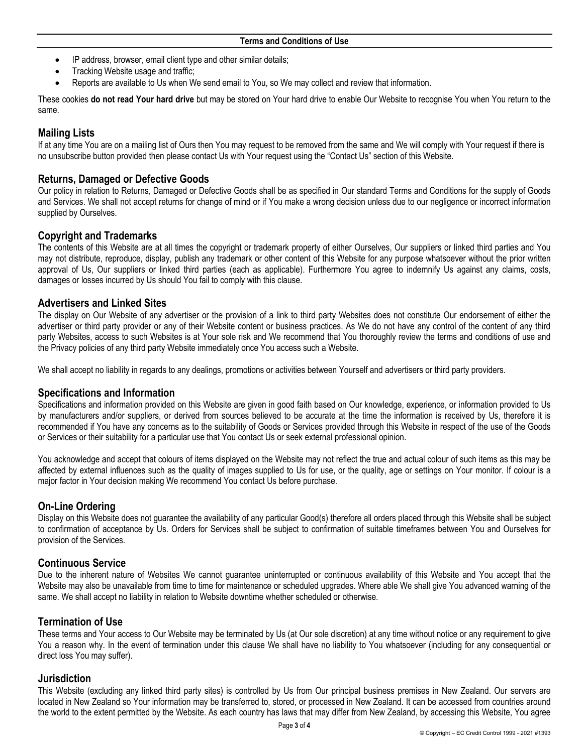- IP address, browser, email client type and other similar details;
- Tracking Website usage and traffic;
- Reports are available to Us when We send email to You, so We may collect and review that information.

These cookies **do not read Your hard drive** but may be stored on Your hard drive to enable Our Website to recognise You when You return to the same.

# **Mailing Lists**

If at any time You are on a mailing list of Ours then You may request to be removed from the same and We will comply with Your request if there is no unsubscribe button provided then please contact Us with Your request using the "Contact Us" section of this Website.

# **Returns, Damaged or Defective Goods**

Our policy in relation to Returns, Damaged or Defective Goods shall be as specified in Our standard Terms and Conditions for the supply of Goods and Services. We shall not accept returns for change of mind or if You make a wrong decision unless due to our negligence or incorrect information supplied by Ourselves.

# **Copyright and Trademarks**

The contents of this Website are at all times the copyright or trademark property of either Ourselves, Our suppliers or linked third parties and You may not distribute, reproduce, display, publish any trademark or other content of this Website for any purpose whatsoever without the prior written approval of Us, Our suppliers or linked third parties (each as applicable). Furthermore You agree to indemnify Us against any claims, costs, damages or losses incurred by Us should You fail to comply with this clause.

## **Advertisers and Linked Sites**

The display on Our Website of any advertiser or the provision of a link to third party Websites does not constitute Our endorsement of either the advertiser or third party provider or any of their Website content or business practices. As We do not have any control of the content of any third party Websites, access to such Websites is at Your sole risk and We recommend that You thoroughly review the terms and conditions of use and the Privacy policies of any third party Website immediately once You access such a Website.

We shall accept no liability in regards to any dealings, promotions or activities between Yourself and advertisers or third party providers.

## **Specifications and Information**

Specifications and information provided on this Website are given in good faith based on Our knowledge, experience, or information provided to Us by manufacturers and/or suppliers, or derived from sources believed to be accurate at the time the information is received by Us, therefore it is recommended if You have any concerns as to the suitability of Goods or Services provided through this Website in respect of the use of the Goods or Services or their suitability for a particular use that You contact Us or seek external professional opinion.

You acknowledge and accept that colours of items displayed on the Website may not reflect the true and actual colour of such items as this may be affected by external influences such as the quality of images supplied to Us for use, or the quality, age or settings on Your monitor. If colour is a major factor in Your decision making We recommend You contact Us before purchase.

# **On-Line Ordering**

Display on this Website does not guarantee the availability of any particular Good(s) therefore all orders placed through this Website shall be subject to confirmation of acceptance by Us. Orders for Services shall be subject to confirmation of suitable timeframes between You and Ourselves for provision of the Services.

## **Continuous Service**

Due to the inherent nature of Websites We cannot guarantee uninterrupted or continuous availability of this Website and You accept that the Website may also be unavailable from time to time for maintenance or scheduled upgrades. Where able We shall give You advanced warning of the same. We shall accept no liability in relation to Website downtime whether scheduled or otherwise.

# **Termination of Use**

These terms and Your access to Our Website may be terminated by Us (at Our sole discretion) at any time without notice or any requirement to give You a reason why. In the event of termination under this clause We shall have no liability to You whatsoever (including for any consequential or direct loss You may suffer).

## **Jurisdiction**

This Website (excluding any linked third party sites) is controlled by Us from Our principal business premises in New Zealand. Our servers are located in New Zealand so Your information may be transferred to, stored, or processed in New Zealand. It can be accessed from countries around the world to the extent permitted by the Website. As each country has laws that may differ from New Zealand, by accessing this Website, You agree